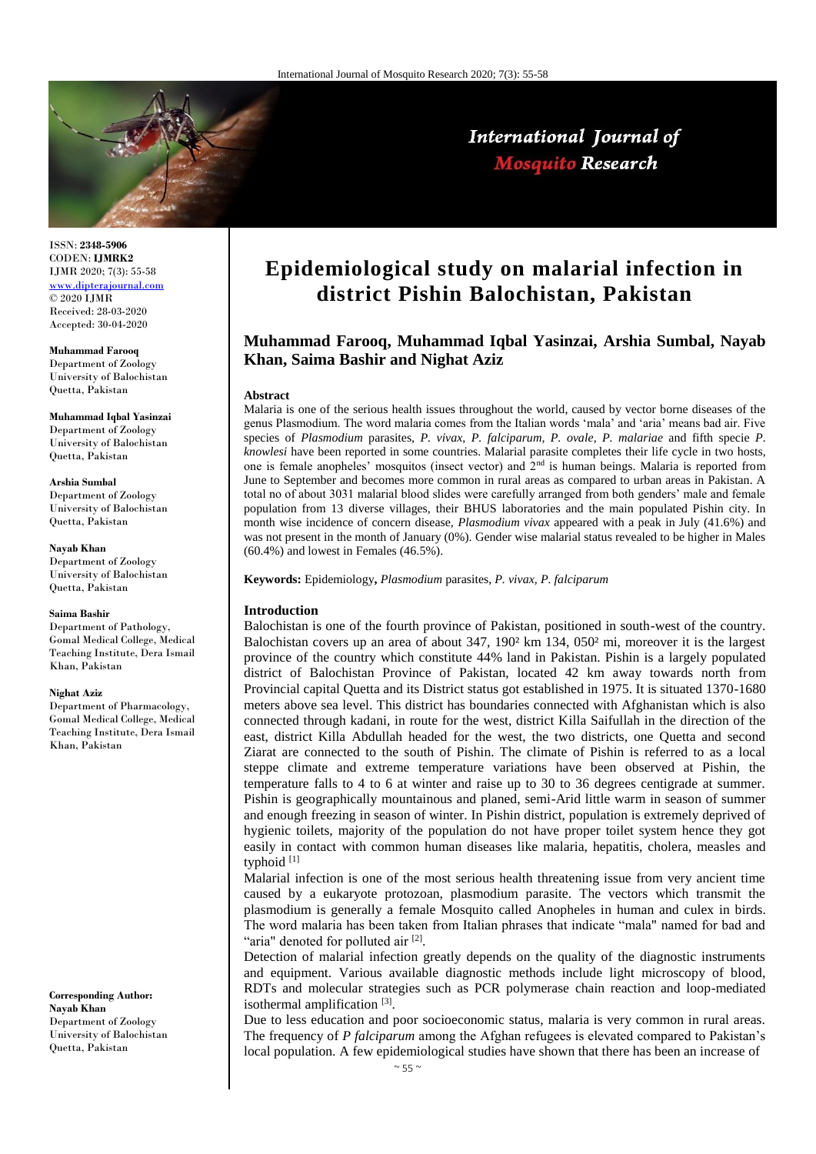

International Journal of **Mosquito Research** 

ISSN: **2348-5906** CODEN: **IJMRK2** IJMR 2020; 7(3): 55-58 [www.dipterajournal.com](file:///D:/2020%20files/01-06-2020/08-06-2020/Mos/Part%20A/www.dipterajournal.com) © 2020 IJMR Received: 28-03-2020 Accepted: 30-04-2020

**Muhammad Farooq** Department of Zoology University of Balochistan Quetta, Pakistan

**Muhammad Iqbal Yasinzai** Department of Zoology University of Balochistan Quetta, Pakistan

**Arshia Sumbal**  Department of Zoology University of Balochistan Quetta, Pakistan

**Nayab Khan** Department of Zoology University of Balochistan Quetta, Pakistan

#### **Saima Bashir**

Department of Pathology, Gomal Medical College, Medical Teaching Institute, Dera Ismail Khan, Pakistan

#### **Nighat Aziz**

Department of Pharmacology, Gomal Medical College, Medical Teaching Institute, Dera Ismail Khan, Pakistan

**Corresponding Author: Nayab Khan** Department of Zoology University of Balochistan Quetta, Pakistan

# **Epidemiological study on malarial infection in district Pishin Balochistan, Pakistan**

## **Muhammad Farooq, Muhammad Iqbal Yasinzai, Arshia Sumbal, Nayab Khan, Saima Bashir and Nighat Aziz**

#### **Abstract**

Malaria is one of the serious health issues throughout the world, caused by vector borne diseases of the genus Plasmodium. The word malaria comes from the Italian words 'mala' and 'aria' means bad air. Five species of *Plasmodium* parasites, *P. vivax, P. falciparum, P. ovale*, *P. malariae* and fifth specie *P. knowlesi* have been reported in some countries. Malarial parasite completes their life cycle in two hosts, one is female anopheles' mosquitos (insect vector) and 2nd is human beings. Malaria is reported from June to September and becomes more common in rural areas as compared to urban areas in Pakistan. A total no of about 3031 malarial blood slides were carefully arranged from both genders' male and female population from 13 diverse villages, their BHUS laboratories and the main populated Pishin city. In month wise incidence of concern disease, *Plasmodium vivax* appeared with a peak in July (41.6%) and was not present in the month of January (0%). Gender wise malarial status revealed to be higher in Males  $(60.4\%)$  and lowest in Females  $(46.5\%)$ .

**Keywords:** Epidemiology**,** *Plasmodium* parasites, *P. vivax, P. falciparum*

## **Introduction**

Balochistan is one of the fourth province of Pakistan, positioned in south-west of the country. Balochistan covers up an area of about 347, 190² km 134, 050² mi, moreover it is the largest province of the country which constitute 44% land in Pakistan. Pishin is a largely populated district of Balochistan Province of Pakistan, located 42 km away towards north from Provincial capital Quetta and its District status got established in 1975. It is situated 1370-1680 meters above sea level. This district has boundaries connected with Afghanistan which is also connected through kadani, in route for the west, district Killa Saifullah in the direction of the east, district Killa Abdullah headed for the west, the two districts, one Quetta and second Ziarat are connected to the south of Pishin. The climate of Pishin is referred to as a local steppe climate and extreme temperature variations have been observed at Pishin, the temperature falls to 4 to 6 at winter and raise up to 30 to 36 degrees centigrade at summer. Pishin is geographically mountainous and planed, semi-Arid little warm in season of summer and enough freezing in season of winter. In Pishin district, population is extremely deprived of hygienic toilets, majority of the population do not have proper toilet system hence they got easily in contact with common human diseases like malaria, hepatitis, cholera, measles and typhoid [1]

Malarial infection is one of the most serious health threatening issue from very ancient time caused by a eukaryote protozoan, plasmodium parasite. The vectors which transmit the plasmodium is generally a female Mosquito called Anopheles in human and culex in birds. The word malaria has been taken from Italian phrases that indicate "mala" named for bad and "aria" denoted for polluted air [2].

Detection of malarial infection greatly depends on the quality of the diagnostic instruments and equipment. Various available diagnostic methods include light microscopy of blood, RDTs and molecular strategies such as PCR polymerase chain reaction and loop-mediated isothermal amplification [3].

Due to less education and poor socioeconomic status, malaria is very common in rural areas. The frequency of *P falciparum* among the Afghan refugees is elevated compared to Pakistan's local population. A few epidemiological studies have shown that there has been an increase of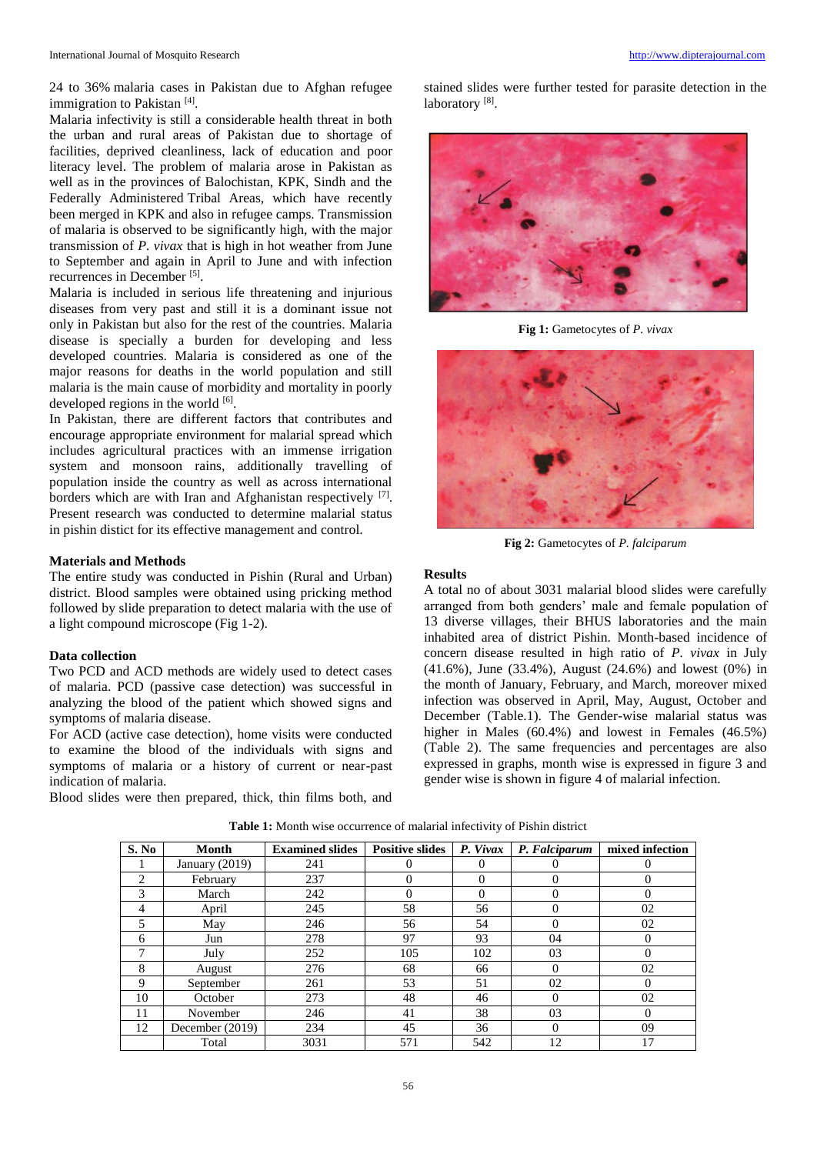24 to 36% malaria cases in Pakistan due to Afghan refugee immigration to Pakistan<sup>[4]</sup>.

Malaria infectivity is still a considerable health threat in both the urban and rural areas of Pakistan due to shortage of facilities, deprived cleanliness, lack of education and poor literacy level. The problem of malaria arose in Pakistan as well as in the provinces of Balochistan, KPK, Sindh and the Federally Administered Tribal Areas, which have recently been merged in KPK and also in refugee camps. Transmission of malaria is observed to be significantly high, with the major transmission of *P. vivax* that is high in hot weather from June to September and again in April to June and with infection recurrences in December<sup>[5]</sup>.

Malaria is included in serious life threatening and injurious diseases from very past and still it is a dominant issue not only in Pakistan but also for the rest of the countries. Malaria disease is specially a burden for developing and less developed countries. Malaria is considered as one of the major reasons for deaths in the world population and still malaria is the main cause of morbidity and mortality in poorly developed regions in the world [6].

In Pakistan, there are different factors that contributes and encourage appropriate environment for malarial spread which includes agricultural practices with an immense irrigation system and monsoon rains, additionally travelling of population inside the country as well as across international borders which are with Iran and Afghanistan respectively [7]. Present research was conducted to determine malarial status in pishin distict for its effective management and control.

## **Materials and Methods**

The entire study was conducted in Pishin (Rural and Urban) district. Blood samples were obtained using pricking method followed by slide preparation to detect malaria with the use of a light compound microscope (Fig 1-2).

#### **Data collection**

Two PCD and ACD methods are widely used to detect cases of malaria. PCD (passive case detection) was successful in analyzing the blood of the patient which showed signs and symptoms of malaria disease.

For ACD (active case detection), home visits were conducted to examine the blood of the individuals with signs and symptoms of malaria or a history of current or near-past indication of malaria.

Blood slides were then prepared, thick, thin films both, and



stained slides were further tested for parasite detection in the

**Fig 1:** Gametocytes of *P. vivax*



**Fig 2:** Gametocytes of *P. falciparum*

#### **Results**

laboratory<sup>[8]</sup>.

A total no of about 3031 malarial blood slides were carefully arranged from both genders' male and female population of 13 diverse villages, their BHUS laboratories and the main inhabited area of district Pishin. Month-based incidence of concern disease resulted in high ratio of *P. vivax* in July (41.6%), June (33.4%), August (24.6%) and lowest (0%) in the month of January, February, and March, moreover mixed infection was observed in April, May, August, October and December (Table.1). The Gender-wise malarial status was higher in Males (60.4%) and lowest in Females (46.5%) (Table 2). The same frequencies and percentages are also expressed in graphs, month wise is expressed in figure 3 and gender wise is shown in figure 4 of malarial infection.

| S. No | <b>Month</b>    | <b>Examined slides</b> | <b>Positive slides</b> | P. Vivax | P. Falciparum | mixed infection |
|-------|-----------------|------------------------|------------------------|----------|---------------|-----------------|
|       | January (2019)  | 241                    |                        | $\theta$ |               | 0               |
| 2     | February        | 237                    |                        | 0        |               |                 |
| 3     | March           | 242                    |                        | $\Omega$ | $\Omega$      | $\Omega$        |
| 4     | April           | 245                    | 58                     | 56       | $\Omega$      | 02              |
| 5     | May             | 246                    | 56                     | 54       | $\Omega$      | 02              |
| 6     | Jun             | 278                    | 97                     | 93       | 04            | $\Omega$        |
| 7     | July            | 252                    | 105                    | 102      | 03            | $\Omega$        |
| 8     | August          | 276                    | 68                     | 66       | $\Omega$      | 02              |
| 9     | September       | 261                    | 53                     | 51       | 02            | $\Omega$        |
| 10    | October         | 273                    | 48                     | 46       | $\Omega$      | 02              |
| 11    | November        | 246                    | 41                     | 38       | 03            | $\Omega$        |
| 12    | December (2019) | 234                    | 45                     | 36       | $\Omega$      | 09              |
|       | Total           | 3031                   | 571                    | 542      | 12            | 17              |

**Table 1:** Month wise occurrence of malarial infectivity of Pishin district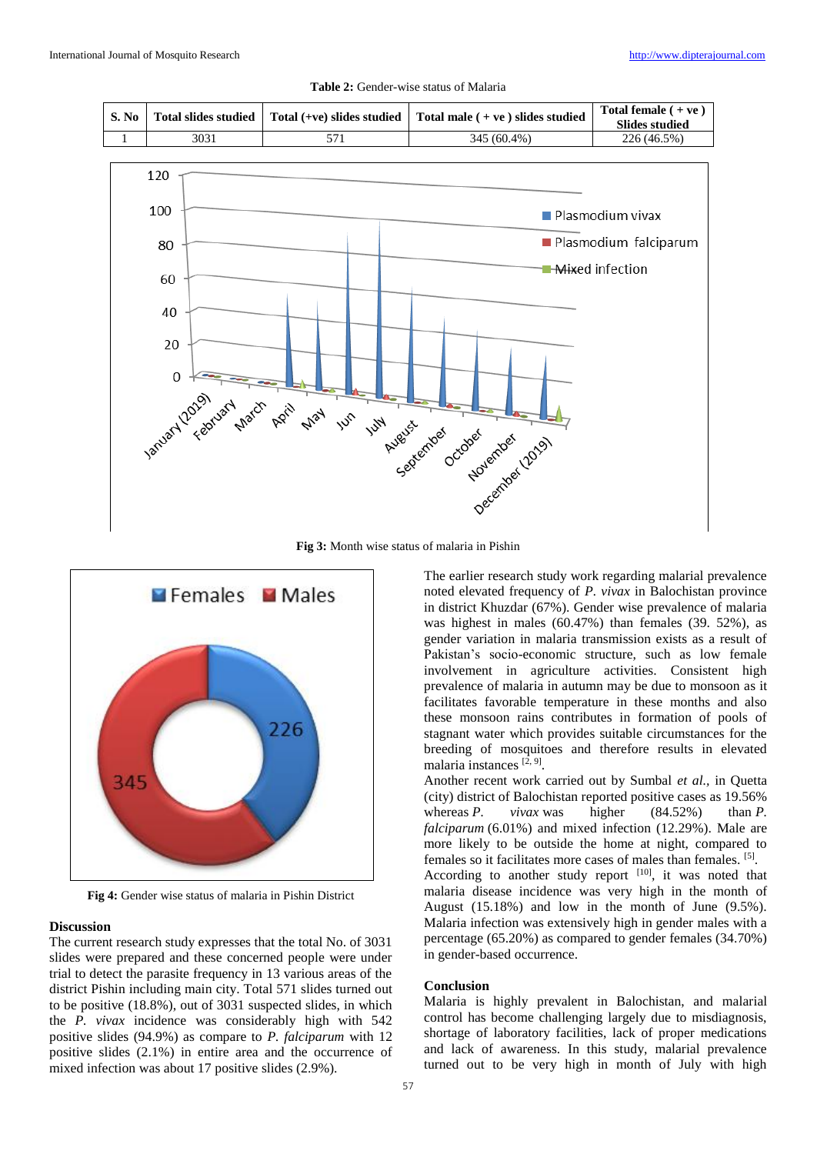| S. No        | <b>Total slides studied</b>                                         | Total (+ve) slides studied | Total male $(+ve)$ slides studied | Total female $(+ve)$<br><b>Slides studied</b>                         |
|--------------|---------------------------------------------------------------------|----------------------------|-----------------------------------|-----------------------------------------------------------------------|
| $\mathbf{1}$ | 3031                                                                | 571                        | 345 (60.4%)                       | 226 (46.5%)                                                           |
|              | 120<br>100<br>80<br>60<br>40<br>20<br>January 2019 Mary March April | May                        | huty August Cadagoed March 2019)  | Plasmodium vivax<br>Plasmodium falciparum<br><b>H</b> Hixed infection |
|              |                                                                     |                            |                                   |                                                                       |

**Table 2:** Gender-wise status of Malaria

**Fig 3:** Month wise status of malaria in Pishin



**Fig 4:** Gender wise status of malaria in Pishin District

#### **Discussion**

The current research study expresses that the total No. of 3031 slides were prepared and these concerned people were under trial to detect the parasite frequency in 13 various areas of the district Pishin including main city. Total 571 slides turned out to be positive (18.8%), out of 3031 suspected slides, in which the *P. vivax* incidence was considerably high with 542 positive slides (94.9%) as compare to *P. falciparum* with 12 positive slides (2.1%) in entire area and the occurrence of mixed infection was about 17 positive slides (2.9%).

The earlier research study work regarding malarial prevalence noted elevated frequency of *P. vivax* in Balochistan province in district Khuzdar (67%). Gender wise prevalence of malaria was highest in males (60.47%) than females (39. 52%), as gender variation in malaria transmission exists as a result of Pakistan's socio-economic structure, such as low female involvement in agriculture activities. Consistent high prevalence of malaria in autumn may be due to monsoon as it facilitates favorable temperature in these months and also these monsoon rains contributes in formation of pools of stagnant water which provides suitable circumstances for the breeding of mosquitoes and therefore results in elevated malaria instances<sup>[2, 9]</sup>.

Another recent work carried out by Sumbal *et al.,* in Quetta (city) district of Balochistan reported positive cases as 19.56% whereas *P. vivax* was higher (84.52%) than *P. falciparum* (6.01%) and mixed infection (12.29%). Male are more likely to be outside the home at night, compared to females so it facilitates more cases of males than females. <sup>[5]</sup>. According to another study report  $[10]$ , it was noted that malaria disease incidence was very high in the month of August (15.18%) and low in the month of June (9.5%). Malaria infection was extensively high in gender males with a percentage (65.20%) as compared to gender females (34.70%) in gender-based occurrence.

## **Conclusion**

Malaria is highly prevalent in Balochistan, and malarial control has become challenging largely due to misdiagnosis, shortage of laboratory facilities, lack of proper medications and lack of awareness. In this study, malarial prevalence turned out to be very high in month of July with high